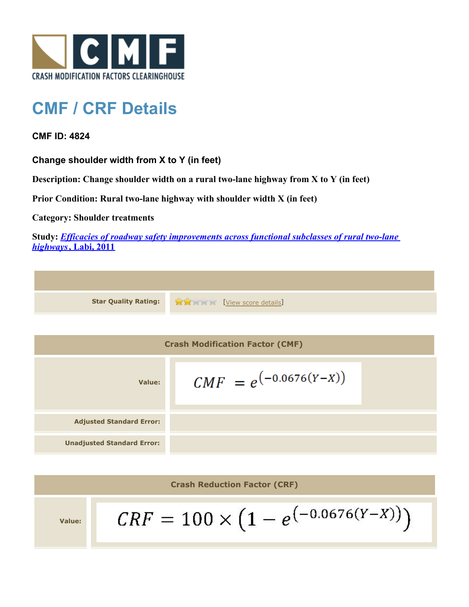

## **CMF / CRF Details**

**CMF ID: 4824**

**Change shoulder width from X to Y (in feet)**

**Description: Change shoulder width on a rural two-lane highway from X to Y (in feet)**

**Prior Condition: Rural two-lane highway with shoulder width X (in feet)**

**Category: Shoulder treatments**

**Study:** *[Efficacies of roadway safety improvements across functional subclasses of rural two-lane](http://www.cmfclearinghouse.org/study_detail.cfm?stid=310) [highways](http://www.cmfclearinghouse.org/study_detail.cfm?stid=310)***[, Labi, 2011](http://www.cmfclearinghouse.org/study_detail.cfm?stid=310)**

| <b>Star Quality Rating:</b>            | <b>CONTROLL ENGINEERING [View score details]</b> |  |
|----------------------------------------|--------------------------------------------------|--|
|                                        |                                                  |  |
| <b>Crash Modification Factor (CMF)</b> |                                                  |  |
| Value:                                 | $CMF = e^{(-0.0676(Y-X))}$                       |  |
| <b>Adjusted Standard Error:</b>        |                                                  |  |
| <b>Unadjusted Standard Error:</b>      |                                                  |  |

**Crash Reduction Factor (CRF)**

**Value:**

$$
CRF = 100 \times (1 - e^{(-0.0676(Y - X))})
$$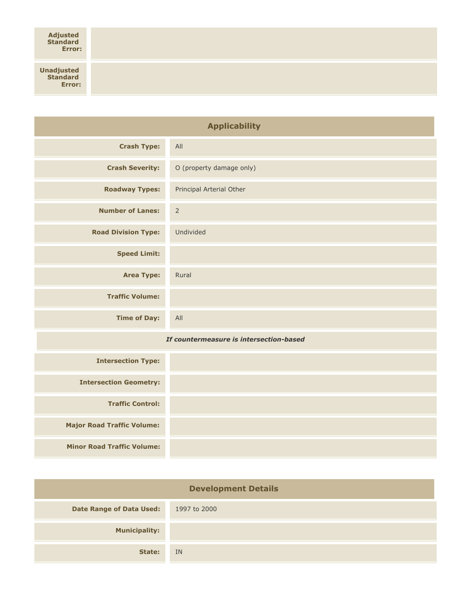**Unadjusted Standard Error:**

| <b>Applicability</b>                    |                          |  |
|-----------------------------------------|--------------------------|--|
| <b>Crash Type:</b>                      | All                      |  |
| <b>Crash Severity:</b>                  | O (property damage only) |  |
| <b>Roadway Types:</b>                   | Principal Arterial Other |  |
| <b>Number of Lanes:</b>                 | $\overline{2}$           |  |
| <b>Road Division Type:</b>              | Undivided                |  |
| <b>Speed Limit:</b>                     |                          |  |
| <b>Area Type:</b>                       | Rural                    |  |
| <b>Traffic Volume:</b>                  |                          |  |
| <b>Time of Day:</b>                     | All                      |  |
| If countermeasure is intersection-based |                          |  |
| <b>Intersection Type:</b>               |                          |  |
| <b>Intersection Geometry:</b>           |                          |  |
| <b>Traffic Control:</b>                 |                          |  |
| <b>Major Road Traffic Volume:</b>       |                          |  |
| <b>Minor Road Traffic Volume:</b>       |                          |  |

| <b>Development Details</b>      |              |  |
|---------------------------------|--------------|--|
| <b>Date Range of Data Used:</b> | 1997 to 2000 |  |
| <b>Municipality:</b>            |              |  |
| State:                          | IN           |  |